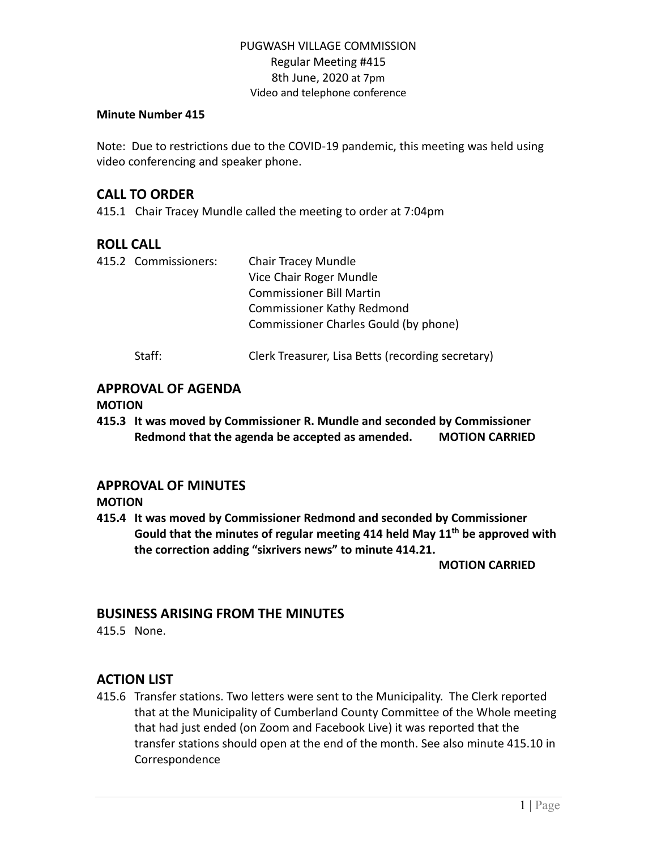#### **Minute Number 415**

Note: Due to restrictions due to the COVID-19 pandemic, this meeting was held using video conferencing and speaker phone.

## **CALL TO ORDER**

415.1 Chair Tracey Mundle called the meeting to order at 7:04pm

# **ROLL CALL**

|  | 415.2 Commissioners: | <b>Chair Tracey Mundle</b>                        |
|--|----------------------|---------------------------------------------------|
|  |                      | Vice Chair Roger Mundle                           |
|  |                      | <b>Commissioner Bill Martin</b>                   |
|  |                      | <b>Commissioner Kathy Redmond</b>                 |
|  |                      | Commissioner Charles Gould (by phone)             |
|  | Staff:               | Clerk Treasurer, Lisa Betts (recording secretary) |

# **APPROVAL OF AGENDA**

#### **MOTION**

**415.3 It was moved by Commissioner R. Mundle and seconded by Commissioner Redmond that the agenda be accepted as amended. MOTION CARRIED**

# **APPROVAL OF MINUTES**

**MOTION**

**415.4 It was moved by Commissioner Redmond and seconded by Commissioner Gould that the minutes of regular meeting 414 held May 11th be approved with the correction adding "sixrivers news" to minute 414.21.**

**MOTION CARRIED**

# **BUSINESS ARISING FROM THE MINUTES**

415.5 None.

# **ACTION LIST**

415.6 Transfer stations. Two letters were sent to the Municipality. The Clerk reported that at the Municipality of Cumberland County Committee of the Whole meeting that had just ended (on Zoom and Facebook Live) it was reported that the transfer stations should open at the end of the month. See also minute 415.10 in Correspondence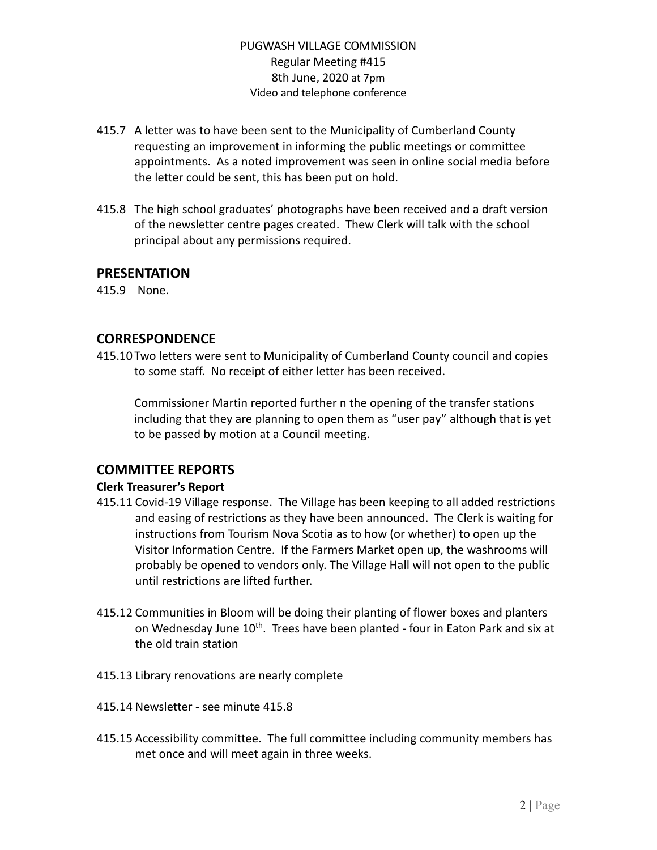- 415.7 A letter was to have been sent to the Municipality of Cumberland County requesting an improvement in informing the public meetings or committee appointments. As a noted improvement was seen in online social media before the letter could be sent, this has been put on hold.
- 415.8 The high school graduates' photographs have been received and a draft version of the newsletter centre pages created. Thew Clerk will talk with the school principal about any permissions required.

#### **PRESENTATION**

415.9 None.

## **CORRESPONDENCE**

415.10 Two letters were sent to Municipality of Cumberland County council and copies to some staff. No receipt of either letter has been received.

Commissioner Martin reported further n the opening of the transfer stations including that they are planning to open them as "user pay" although that is yet to be passed by motion at a Council meeting.

## **COMMITTEE REPORTS**

#### **Clerk Treasurer's Report**

- 415.11 Covid-19 Village response. The Village has been keeping to all added restrictions and easing of restrictions as they have been announced. The Clerk is waiting for instructions from Tourism Nova Scotia as to how (or whether) to open up the Visitor Information Centre. If the Farmers Market open up, the washrooms will probably be opened to vendors only. The Village Hall will not open to the public until restrictions are lifted further.
- 415.12 Communities in Bloom will be doing their planting of flower boxes and planters on Wednesday June 10<sup>th</sup>. Trees have been planted - four in Eaton Park and six at the old train station
- 415.13 Library renovations are nearly complete
- 415.14 Newsletter see minute 415.8
- 415.15 Accessibility committee. The full committee including community members has met once and will meet again in three weeks.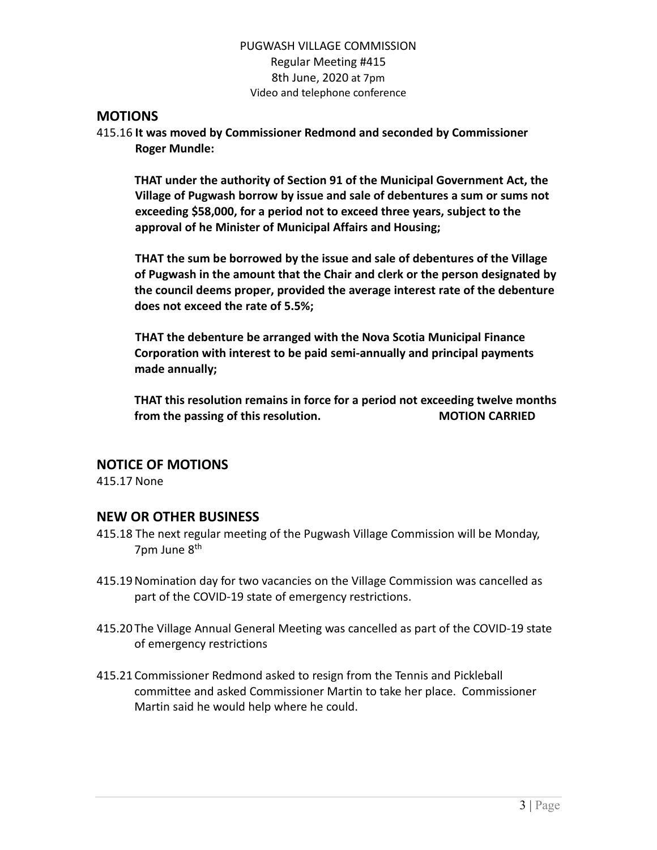## **MOTIONS**

415.16 **It was moved by Commissioner Redmond and seconded by Commissioner Roger Mundle:**

**THAT under the authority of Section 91 of the Municipal Government Act, the Village of Pugwash borrow by issue and sale of debentures a sum or sums not exceeding \$58,000, for a period not to exceed three years, subject to the approval of he Minister of Municipal Affairs and Housing;**

**THAT the sum be borrowed by the issue and sale of debentures of the Village of Pugwash in the amount that the Chair and clerk or the person designated by the council deems proper, provided the average interest rate of the debenture does not exceed the rate of 5.5%;**

**THAT the debenture be arranged with the Nova Scotia Municipal Finance Corporation with interest to be paid semi-annually and principal payments made annually;**

**THAT this resolution remains in force for a period not exceeding twelve months from the passing of this resolution. MOTION CARRIED**

## **NOTICE OF MOTIONS**

415.17 None

## **NEW OR OTHER BUSINESS**

- 415.18 The next regular meeting of the Pugwash Village Commission will be Monday, 7pm June 8<sup>th</sup>
- 415.19Nomination day for two vacancies on the Village Commission was cancelled as part of the COVID-19 state of emergency restrictions.
- 415.20 The Village Annual General Meeting was cancelled as part of the COVID-19 state of emergency restrictions
- 415.21 Commissioner Redmond asked to resign from the Tennis and Pickleball committee and asked Commissioner Martin to take her place. Commissioner Martin said he would help where he could.